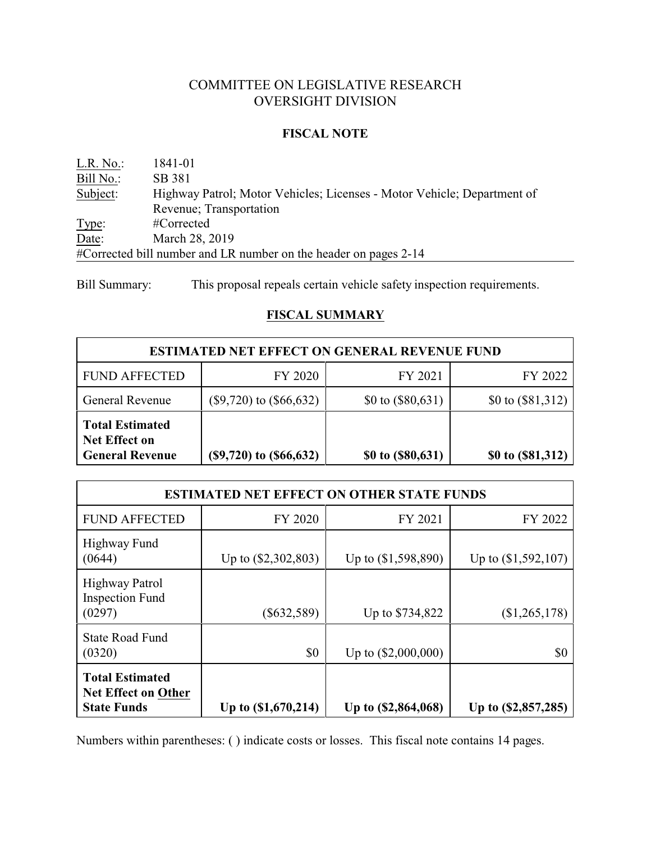# COMMITTEE ON LEGISLATIVE RESEARCH OVERSIGHT DIVISION

### **FISCAL NOTE**

L.R. No.: 1841-01 Bill No.: SB 381 Subject: Highway Patrol; Motor Vehicles; Licenses - Motor Vehicle; Department of Revenue; Transportation Type: #Corrected Date: March 28, 2019 #Corrected bill number and LR number on the header on pages 2-14

Bill Summary: This proposal repeals certain vehicle safety inspection requirements.

## **FISCAL SUMMARY**

| <b>ESTIMATED NET EFFECT ON GENERAL REVENUE FUND</b>                      |                             |                     |                     |
|--------------------------------------------------------------------------|-----------------------------|---------------------|---------------------|
| <b>FUND AFFECTED</b>                                                     | FY 2020                     | FY 2021             | FY 2022             |
| <b>General Revenue</b>                                                   | $(\$9,720)$ to $(\$66,632)$ | \$0 to $(\$80,631)$ | \$0 to $(\$81,312)$ |
| <b>Total Estimated</b><br><b>Net Effect on</b><br><b>General Revenue</b> | $(\$9,720)$ to $(\$66,632)$ | \$0 to (\$80,631)   | \$0 to (\$81,312)   |

| <b>ESTIMATED NET EFFECT ON OTHER STATE FUNDS</b>                           |                       |                       |                       |
|----------------------------------------------------------------------------|-----------------------|-----------------------|-----------------------|
| <b>FUND AFFECTED</b>                                                       | FY 2020               | FY 2021               | FY 2022               |
| Highway Fund<br>(0644)                                                     | Up to $(\$2,302,803)$ | Up to $(\$1,598,890)$ | Up to $(\$1,592,107)$ |
| <b>Highway Patrol</b><br><b>Inspection Fund</b><br>(0297)                  | $(\$632,589)$         | Up to \$734,822       | (\$1,265,178)         |
| <b>State Road Fund</b><br>(0320)                                           | \$0                   | Up to $(\$2,000,000)$ | \$0                   |
| <b>Total Estimated</b><br><b>Net Effect on Other</b><br><b>State Funds</b> | Up to $(\$1,670,214)$ | Up to (\$2,864,068)   | Up to (\$2,857,285)   |

Numbers within parentheses: ( ) indicate costs or losses. This fiscal note contains 14 pages.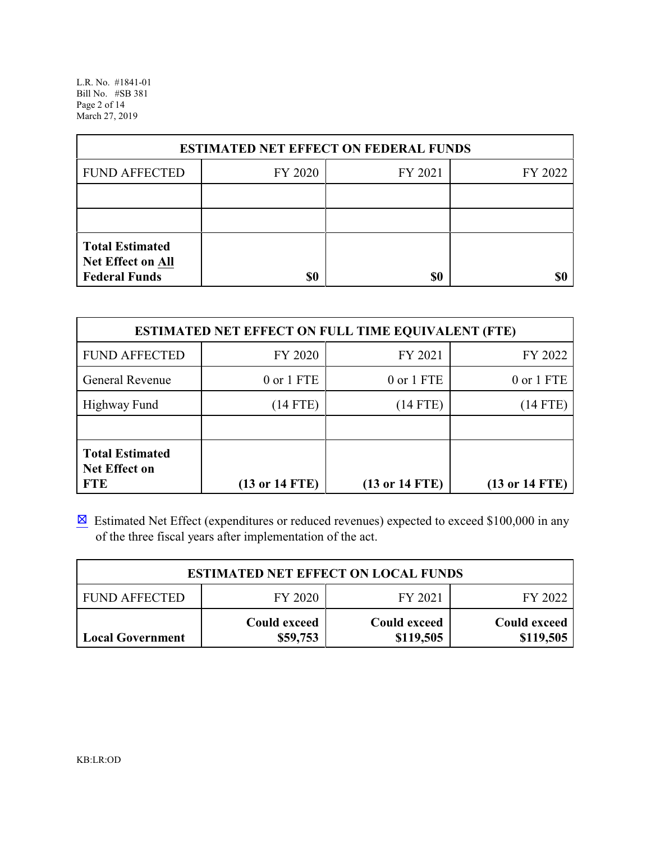L.R. No. #1841-01 Bill No. #SB 381 Page 2 of 14 March 27, 2019

| <b>ESTIMATED NET EFFECT ON FEDERAL FUNDS</b>                        |         |         |         |
|---------------------------------------------------------------------|---------|---------|---------|
| <b>FUND AFFECTED</b>                                                | FY 2020 | FY 2021 | FY 2022 |
|                                                                     |         |         |         |
|                                                                     |         |         |         |
| <b>Total Estimated</b><br>Net Effect on All<br><b>Federal Funds</b> | \$0     | \$0     |         |

| <b>ESTIMATED NET EFFECT ON FULL TIME EQUIVALENT (FTE)</b>    |                                   |                    |                    |
|--------------------------------------------------------------|-----------------------------------|--------------------|--------------------|
| <b>FUND AFFECTED</b>                                         | FY 2020                           | FY 2021            | FY 2022            |
| General Revenue                                              | 0 or 1 FTE                        | 0 or 1 FTE         | 0 or 1 FTE         |
| Highway Fund                                                 | $(14$ FTE)                        | $(14$ FTE)         | $(14$ FTE)         |
|                                                              |                                   |                    |                    |
| <b>Total Estimated</b><br><b>Net Effect on</b><br><b>FTE</b> | $(13 \text{ or } 14 \text{ FTE})$ | $(13$ or $14$ FTE) | $(13$ or $14$ FTE) |

 $\boxtimes$  Estimated Net Effect (expenditures or reduced revenues) expected to exceed \$100,000 in any of the three fiscal years after implementation of the act.

| <b>ESTIMATED NET EFFECT ON LOCAL FUNDS</b> |                          |                           |                                  |
|--------------------------------------------|--------------------------|---------------------------|----------------------------------|
| FUND AFFECTED                              | FY 2020                  | FY 2021                   | FY 2022                          |
| <b>Local Government</b>                    | Could exceed<br>\$59,753 | Could exceed<br>\$119,505 | <b>Could exceed</b><br>\$119,505 |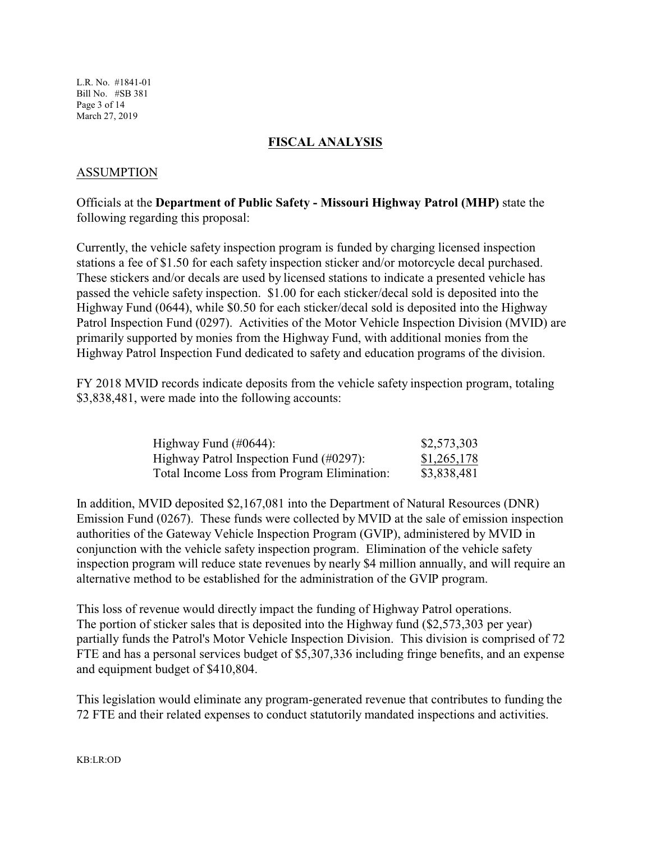L.R. No. #1841-01 Bill No. #SB 381 Page 3 of 14 March 27, 2019

## **FISCAL ANALYSIS**

### ASSUMPTION

Officials at the **Department of Public Safety - Missouri Highway Patrol (MHP)** state the following regarding this proposal:

Currently, the vehicle safety inspection program is funded by charging licensed inspection stations a fee of \$1.50 for each safety inspection sticker and/or motorcycle decal purchased. These stickers and/or decals are used by licensed stations to indicate a presented vehicle has passed the vehicle safety inspection. \$1.00 for each sticker/decal sold is deposited into the Highway Fund (0644), while \$0.50 for each sticker/decal sold is deposited into the Highway Patrol Inspection Fund (0297). Activities of the Motor Vehicle Inspection Division (MVID) are primarily supported by monies from the Highway Fund, with additional monies from the Highway Patrol Inspection Fund dedicated to safety and education programs of the division.

FY 2018 MVID records indicate deposits from the vehicle safety inspection program, totaling \$3,838,481, were made into the following accounts:

| Highway Fund $(\text{\#}0644)$ :            | \$2,573,303 |
|---------------------------------------------|-------------|
| Highway Patrol Inspection Fund (#0297):     | \$1,265,178 |
| Total Income Loss from Program Elimination: | \$3,838,481 |

In addition, MVID deposited \$2,167,081 into the Department of Natural Resources (DNR) Emission Fund (0267). These funds were collected by MVID at the sale of emission inspection authorities of the Gateway Vehicle Inspection Program (GVIP), administered by MVID in conjunction with the vehicle safety inspection program. Elimination of the vehicle safety inspection program will reduce state revenues by nearly \$4 million annually, and will require an alternative method to be established for the administration of the GVIP program.

This loss of revenue would directly impact the funding of Highway Patrol operations. The portion of sticker sales that is deposited into the Highway fund (\$2,573,303 per year) partially funds the Patrol's Motor Vehicle Inspection Division. This division is comprised of 72 FTE and has a personal services budget of \$5,307,336 including fringe benefits, and an expense and equipment budget of \$410,804.

This legislation would eliminate any program-generated revenue that contributes to funding the 72 FTE and their related expenses to conduct statutorily mandated inspections and activities.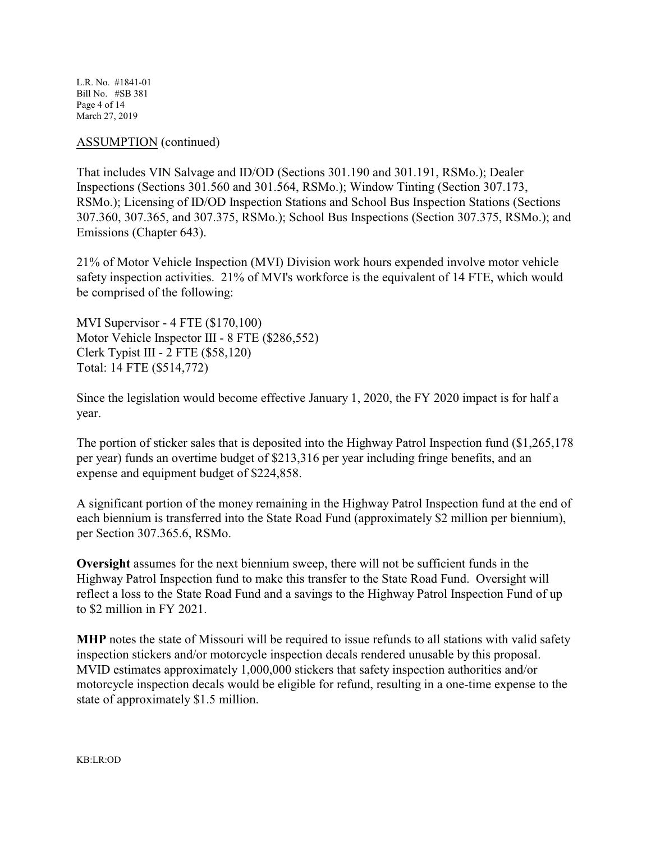L.R. No. #1841-01 Bill No. #SB 381 Page 4 of 14 March 27, 2019

## ASSUMPTION (continued)

That includes VIN Salvage and ID/OD (Sections 301.190 and 301.191, RSMo.); Dealer Inspections (Sections 301.560 and 301.564, RSMo.); Window Tinting (Section 307.173, RSMo.); Licensing of ID/OD Inspection Stations and School Bus Inspection Stations (Sections 307.360, 307.365, and 307.375, RSMo.); School Bus Inspections (Section 307.375, RSMo.); and Emissions (Chapter 643).

21% of Motor Vehicle Inspection (MVI) Division work hours expended involve motor vehicle safety inspection activities. 21% of MVI's workforce is the equivalent of 14 FTE, which would be comprised of the following:

MVI Supervisor - 4 FTE (\$170,100) Motor Vehicle Inspector III - 8 FTE (\$286,552) Clerk Typist III - 2 FTE (\$58,120) Total: 14 FTE (\$514,772)

Since the legislation would become effective January 1, 2020, the FY 2020 impact is for half a year.

The portion of sticker sales that is deposited into the Highway Patrol Inspection fund (\$1,265,178 per year) funds an overtime budget of \$213,316 per year including fringe benefits, and an expense and equipment budget of \$224,858.

A significant portion of the money remaining in the Highway Patrol Inspection fund at the end of each biennium is transferred into the State Road Fund (approximately \$2 million per biennium), per Section 307.365.6, RSMo.

**Oversight** assumes for the next biennium sweep, there will not be sufficient funds in the Highway Patrol Inspection fund to make this transfer to the State Road Fund. Oversight will reflect a loss to the State Road Fund and a savings to the Highway Patrol Inspection Fund of up to \$2 million in FY 2021.

**MHP** notes the state of Missouri will be required to issue refunds to all stations with valid safety inspection stickers and/or motorcycle inspection decals rendered unusable by this proposal. MVID estimates approximately 1,000,000 stickers that safety inspection authorities and/or motorcycle inspection decals would be eligible for refund, resulting in a one-time expense to the state of approximately \$1.5 million.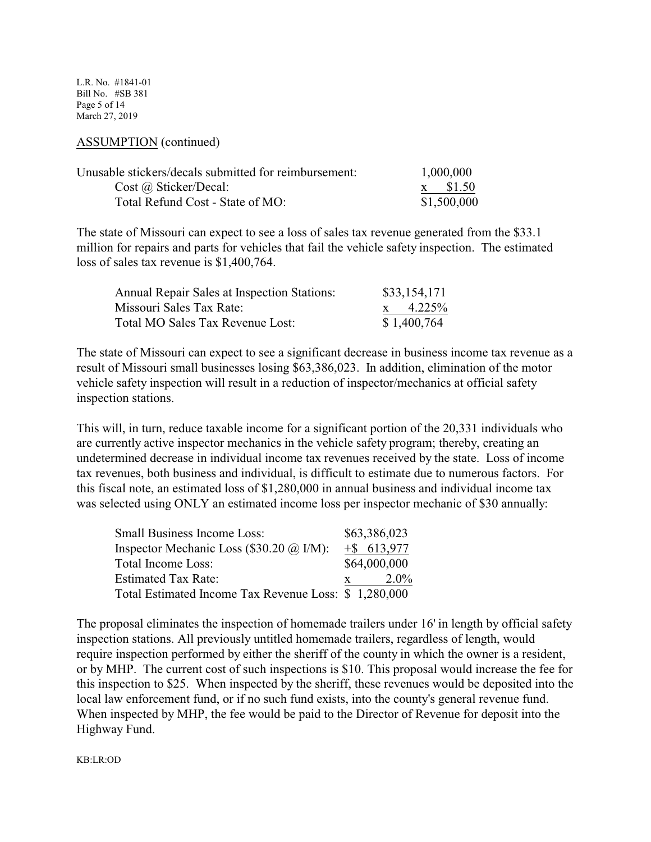L.R. No. #1841-01 Bill No. #SB 381 Page 5 of 14 March 27, 2019

#### ASSUMPTION (continued)

| Unusable stickers/decals submitted for reimbursement: | 1,000,000   |  |
|-------------------------------------------------------|-------------|--|
| $Cost \, @$ Sticker/Decal:                            | x \$1.50    |  |
| Total Refund Cost - State of MO:                      | \$1,500,000 |  |

The state of Missouri can expect to see a loss of sales tax revenue generated from the \$33.1 million for repairs and parts for vehicles that fail the vehicle safety inspection. The estimated loss of sales tax revenue is \$1,400,764.

| <b>Annual Repair Sales at Inspection Stations:</b> | \$33,154,171  |
|----------------------------------------------------|---------------|
| Missouri Sales Tax Rate:                           | $x = 4.225\%$ |
| Total MO Sales Tax Revenue Lost:                   | \$1,400,764   |

The state of Missouri can expect to see a significant decrease in business income tax revenue as a result of Missouri small businesses losing \$63,386,023. In addition, elimination of the motor vehicle safety inspection will result in a reduction of inspector/mechanics at official safety inspection stations.

This will, in turn, reduce taxable income for a significant portion of the 20,331 individuals who are currently active inspector mechanics in the vehicle safety program; thereby, creating an undetermined decrease in individual income tax revenues received by the state. Loss of income tax revenues, both business and individual, is difficult to estimate due to numerous factors. For this fiscal note, an estimated loss of \$1,280,000 in annual business and individual income tax was selected using ONLY an estimated income loss per inspector mechanic of \$30 annually:

| <b>Small Business Income Loss:</b>                   |  | \$63,386,023   |
|------------------------------------------------------|--|----------------|
| Inspector Mechanic Loss (\$30.20 @ I/M):             |  | $+$ \$ 613,977 |
| Total Income Loss:                                   |  | \$64,000,000   |
| <b>Estimated Tax Rate:</b>                           |  | $2.0\%$        |
| Total Estimated Income Tax Revenue Loss: \$1,280,000 |  |                |

The proposal eliminates the inspection of homemade trailers under 16' in length by official safety inspection stations. All previously untitled homemade trailers, regardless of length, would require inspection performed by either the sheriff of the county in which the owner is a resident, or by MHP. The current cost of such inspections is \$10. This proposal would increase the fee for this inspection to \$25. When inspected by the sheriff, these revenues would be deposited into the local law enforcement fund, or if no such fund exists, into the county's general revenue fund. When inspected by MHP, the fee would be paid to the Director of Revenue for deposit into the Highway Fund.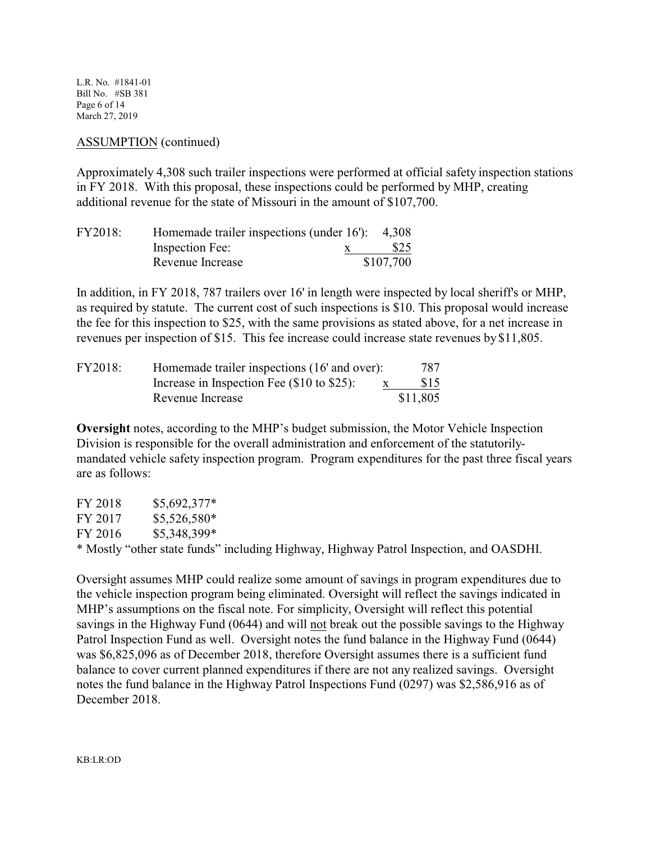L.R. No. #1841-01 Bill No. #SB 381 Page 6 of 14 March 27, 2019

### ASSUMPTION (continued)

Approximately 4,308 such trailer inspections were performed at official safety inspection stations in FY 2018. With this proposal, these inspections could be performed by MHP, creating additional revenue for the state of Missouri in the amount of \$107,700.

| FY2018: | Homemade trailer inspections (under $16$ ): 4,308 |           |
|---------|---------------------------------------------------|-----------|
|         | Inspection Fee:                                   | \$25      |
|         | Revenue Increase                                  | \$107,700 |

In addition, in FY 2018, 787 trailers over 16' in length were inspected by local sheriff's or MHP, as required by statute. The current cost of such inspections is \$10. This proposal would increase the fee for this inspection to \$25, with the same provisions as stated above, for a net increase in revenues per inspection of \$15. This fee increase could increase state revenues by \$11,805.

| FY2018: | Homemade trailer inspections (16' and over):    | 787      |
|---------|-------------------------------------------------|----------|
|         | Increase in Inspection Fee $(\$10$ to $\$25)$ : | \$15     |
|         | Revenue Increase                                | \$11,805 |

**Oversight** notes, according to the MHP's budget submission, the Motor Vehicle Inspection Division is responsible for the overall administration and enforcement of the statutorilymandated vehicle safety inspection program. Program expenditures for the past three fiscal years are as follows:

| FY 2018 | $$5,692,377*$ |                                                                                        |
|---------|---------------|----------------------------------------------------------------------------------------|
| FY 2017 | $$5,526,580*$ |                                                                                        |
| FY 2016 | \$5,348,399*  |                                                                                        |
|         |               | * Mostly "other state funds" including Highway, Highway Patrol Inspection, and OASDHI. |

Oversight assumes MHP could realize some amount of savings in program expenditures due to the vehicle inspection program being eliminated. Oversight will reflect the savings indicated in MHP's assumptions on the fiscal note. For simplicity, Oversight will reflect this potential savings in the Highway Fund (0644) and will not break out the possible savings to the Highway Patrol Inspection Fund as well. Oversight notes the fund balance in the Highway Fund (0644) was \$6,825,096 as of December 2018, therefore Oversight assumes there is a sufficient fund balance to cover current planned expenditures if there are not any realized savings. Oversight notes the fund balance in the Highway Patrol Inspections Fund (0297) was \$2,586,916 as of December 2018.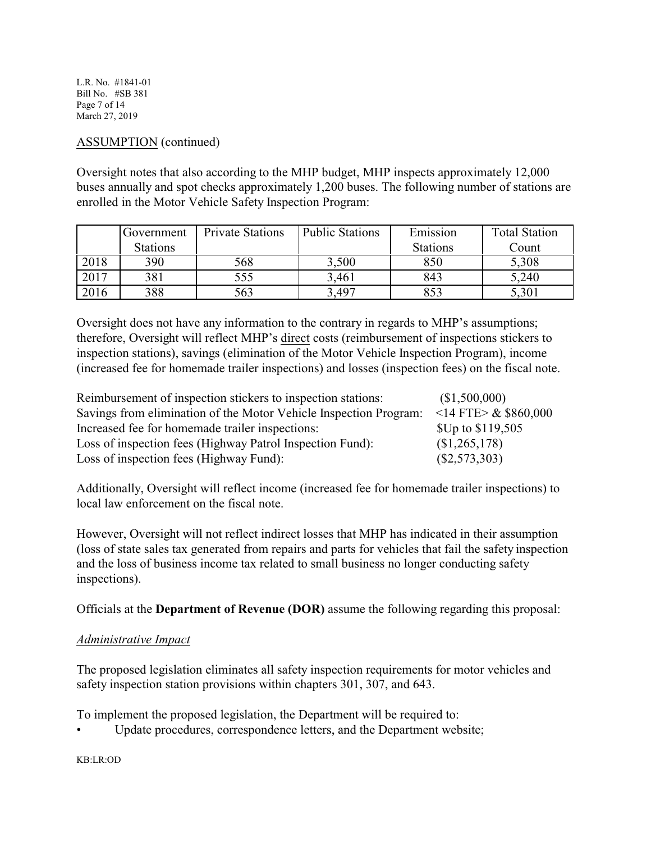L.R. No. #1841-01 Bill No. #SB 381 Page 7 of 14 March 27, 2019

# ASSUMPTION (continued)

Oversight notes that also according to the MHP budget, MHP inspects approximately 12,000 buses annually and spot checks approximately 1,200 buses. The following number of stations are enrolled in the Motor Vehicle Safety Inspection Program:

|      | Government      | <b>Private Stations</b> | <b>Public Stations</b> | Emission        | <b>Total Station</b> |
|------|-----------------|-------------------------|------------------------|-----------------|----------------------|
|      | <b>Stations</b> |                         |                        | <b>Stations</b> | Count                |
| 2018 | 390             | 568                     | 3,500                  | 850             | 5,308                |
| 2017 | 381             | 555                     | 3,461                  | 843             | 5,240                |
| 2016 | 388             | 563                     | ,497                   |                 | 5,301                |

Oversight does not have any information to the contrary in regards to MHP's assumptions; therefore, Oversight will reflect MHP's direct costs (reimbursement of inspections stickers to inspection stations), savings (elimination of the Motor Vehicle Inspection Program), income (increased fee for homemade trailer inspections) and losses (inspection fees) on the fiscal note.

| Reimbursement of inspection stickers to inspection stations:      | (\$1,500,000)              |
|-------------------------------------------------------------------|----------------------------|
| Savings from elimination of the Motor Vehicle Inspection Program: | $<$ 14 FTE $>$ & \$860,000 |
| Increased fee for homemade trailer inspections:                   | \$Up to \$119,505          |
| Loss of inspection fees (Highway Patrol Inspection Fund):         | \$1,265,178                |
| Loss of inspection fees (Highway Fund):                           | $(\$2,573,303)$            |

Additionally, Oversight will reflect income (increased fee for homemade trailer inspections) to local law enforcement on the fiscal note.

However, Oversight will not reflect indirect losses that MHP has indicated in their assumption (loss of state sales tax generated from repairs and parts for vehicles that fail the safety inspection and the loss of business income tax related to small business no longer conducting safety inspections).

Officials at the **Department of Revenue (DOR)** assume the following regarding this proposal:

## *Administrative Impact*

The proposed legislation eliminates all safety inspection requirements for motor vehicles and safety inspection station provisions within chapters 301, 307, and 643.

To implement the proposed legislation, the Department will be required to:

Update procedures, correspondence letters, and the Department website;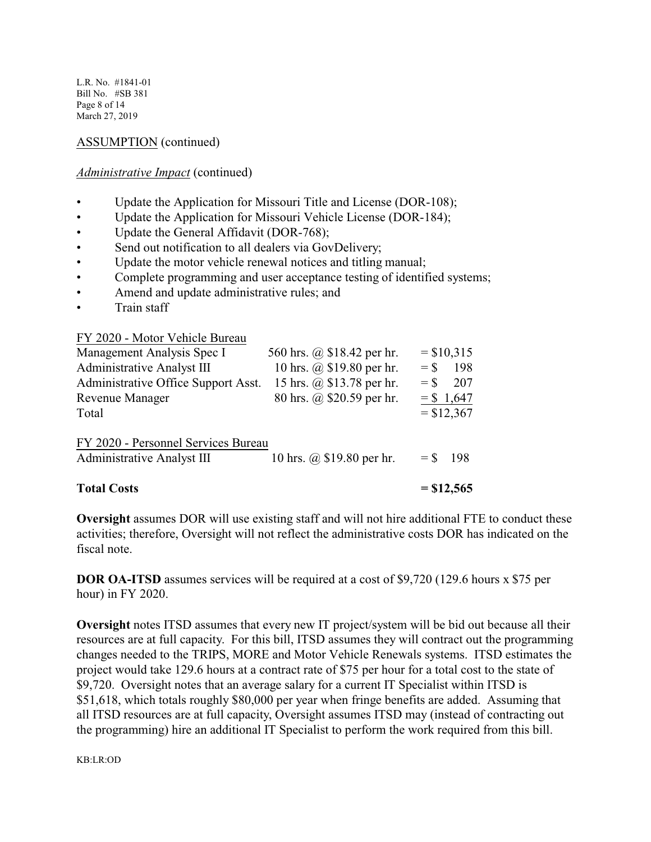L.R. No. #1841-01 Bill No. #SB 381 Page 8 of 14 March 27, 2019

## ASSUMPTION (continued)

## *Administrative Impact* (continued)

- Update the Application for Missouri Title and License (DOR-108);
- Update the Application for Missouri Vehicle License (DOR-184);
- Update the General Affidavit (DOR-768);
- Send out notification to all dealers via GovDelivery;
- Update the motor vehicle renewal notices and titling manual;
- Complete programming and user acceptance testing of identified systems;
- Amend and update administrative rules; and
- Train staff

FY 2020 - Motor Vehicle Bureau

| <b>Total Costs</b>                                                       |                            |        | $= $12,565$                  |
|--------------------------------------------------------------------------|----------------------------|--------|------------------------------|
| FY 2020 - Personnel Services Bureau<br><b>Administrative Analyst III</b> | 10 hrs. @ \$19.80 per hr.  | $=$ S  | -198                         |
| <b>Revenue Manager</b><br>Total                                          | 80 hrs. @ \$20.59 per hr.  |        | $=$ \$ 1,647<br>$=$ \$12,367 |
| Administrative Office Support Asst.                                      | 15 hrs. @ \$13.78 per hr.  | $=$ \$ | 207                          |
| <b>Administrative Analyst III</b>                                        | 10 hrs. @ \$19.80 per hr.  | $=$ \$ | 198                          |
| Management Analysis Spec I                                               | 560 hrs. @ \$18.42 per hr. |        | $=$ \$10,315                 |

**Oversight** assumes DOR will use existing staff and will not hire additional FTE to conduct these activities; therefore, Oversight will not reflect the administrative costs DOR has indicated on the fiscal note.

**DOR OA-ITSD** assumes services will be required at a cost of \$9,720 (129.6 hours x \$75 per hour) in FY 2020.

**Oversight** notes ITSD assumes that every new IT project/system will be bid out because all their resources are at full capacity. For this bill, ITSD assumes they will contract out the programming changes needed to the TRIPS, MORE and Motor Vehicle Renewals systems. ITSD estimates the project would take 129.6 hours at a contract rate of \$75 per hour for a total cost to the state of \$9,720. Oversight notes that an average salary for a current IT Specialist within ITSD is \$51,618, which totals roughly \$80,000 per year when fringe benefits are added. Assuming that all ITSD resources are at full capacity, Oversight assumes ITSD may (instead of contracting out the programming) hire an additional IT Specialist to perform the work required from this bill.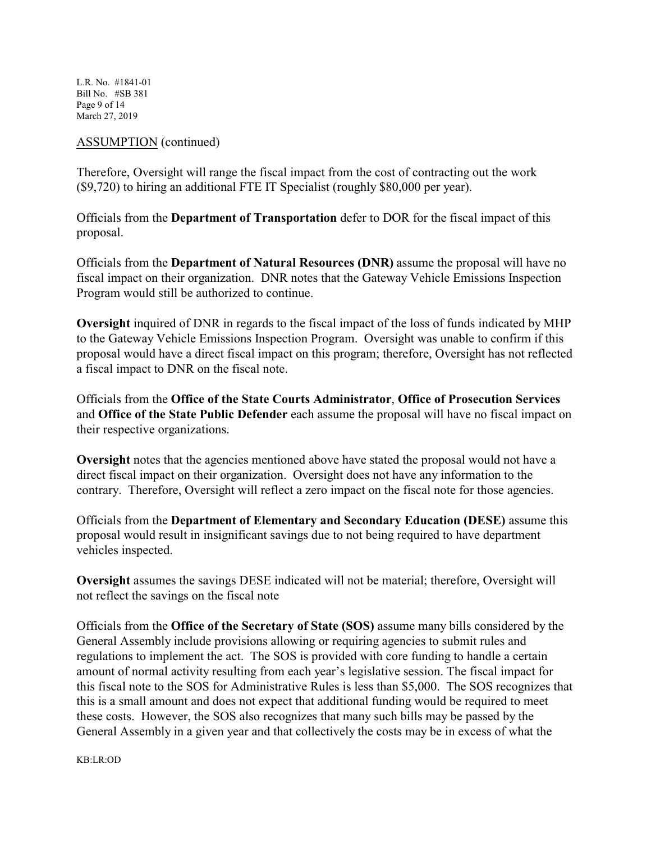L.R. No. #1841-01 Bill No. #SB 381 Page 9 of 14 March 27, 2019

## ASSUMPTION (continued)

Therefore, Oversight will range the fiscal impact from the cost of contracting out the work (\$9,720) to hiring an additional FTE IT Specialist (roughly \$80,000 per year).

Officials from the **Department of Transportation** defer to DOR for the fiscal impact of this proposal.

Officials from the **Department of Natural Resources (DNR)** assume the proposal will have no fiscal impact on their organization. DNR notes that the Gateway Vehicle Emissions Inspection Program would still be authorized to continue.

**Oversight** inquired of DNR in regards to the fiscal impact of the loss of funds indicated by MHP to the Gateway Vehicle Emissions Inspection Program. Oversight was unable to confirm if this proposal would have a direct fiscal impact on this program; therefore, Oversight has not reflected a fiscal impact to DNR on the fiscal note.

Officials from the **Office of the State Courts Administrator**, **Office of Prosecution Services** and **Office of the State Public Defender** each assume the proposal will have no fiscal impact on their respective organizations.

**Oversight** notes that the agencies mentioned above have stated the proposal would not have a direct fiscal impact on their organization. Oversight does not have any information to the contrary. Therefore, Oversight will reflect a zero impact on the fiscal note for those agencies.

Officials from the **Department of Elementary and Secondary Education (DESE)** assume this proposal would result in insignificant savings due to not being required to have department vehicles inspected.

**Oversight** assumes the savings DESE indicated will not be material; therefore, Oversight will not reflect the savings on the fiscal note

Officials from the **Office of the Secretary of State (SOS)** assume many bills considered by the General Assembly include provisions allowing or requiring agencies to submit rules and regulations to implement the act. The SOS is provided with core funding to handle a certain amount of normal activity resulting from each year's legislative session. The fiscal impact for this fiscal note to the SOS for Administrative Rules is less than \$5,000. The SOS recognizes that this is a small amount and does not expect that additional funding would be required to meet these costs. However, the SOS also recognizes that many such bills may be passed by the General Assembly in a given year and that collectively the costs may be in excess of what the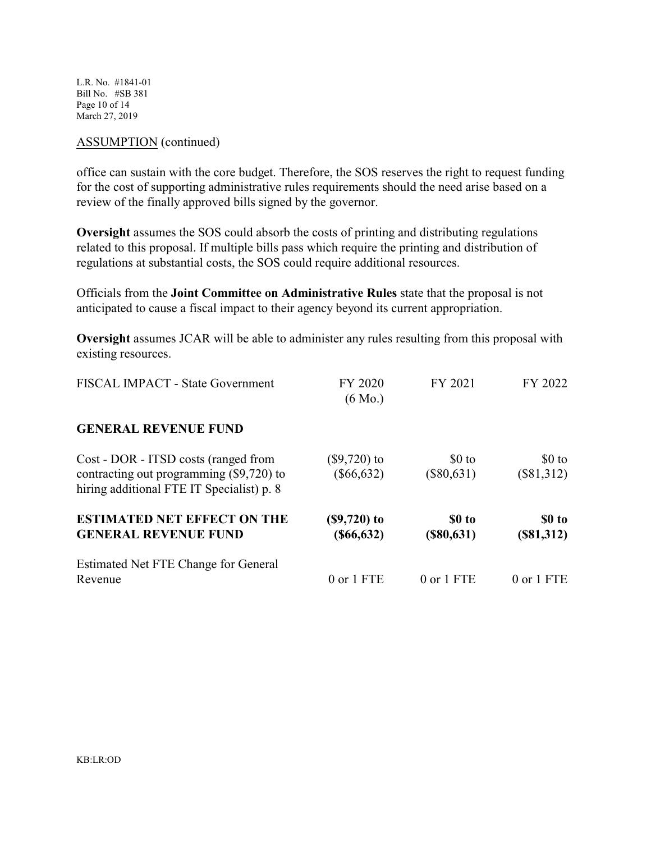L.R. No. #1841-01 Bill No. #SB 381 Page 10 of 14 March 27, 2019

#### ASSUMPTION (continued)

office can sustain with the core budget. Therefore, the SOS reserves the right to request funding for the cost of supporting administrative rules requirements should the need arise based on a review of the finally approved bills signed by the governor.

**Oversight** assumes the SOS could absorb the costs of printing and distributing regulations related to this proposal. If multiple bills pass which require the printing and distribution of regulations at substantial costs, the SOS could require additional resources.

Officials from the **Joint Committee on Administrative Rules** state that the proposal is not anticipated to cause a fiscal impact to their agency beyond its current appropriation.

**Oversight** assumes JCAR will be able to administer any rules resulting from this proposal with existing resources.

| FISCAL IMPACT - State Government                                                                                              | FY 2020<br>$(6 \text{ Mo.})$      | FY 2021                 | FY 2022                 |
|-------------------------------------------------------------------------------------------------------------------------------|-----------------------------------|-------------------------|-------------------------|
| <b>GENERAL REVENUE FUND</b>                                                                                                   |                                   |                         |                         |
| Cost - DOR - ITSD costs (ranged from<br>contracting out programming (\$9,720) to<br>hiring additional FTE IT Specialist) p. 8 | $(\$9,720)$ to<br>$(\$66,632)$    | $$0$ to<br>$(\$80,631)$ | $$0$ to<br>$(\$81,312)$ |
| <b>ESTIMATED NET EFFECT ON THE</b><br><b>GENERAL REVENUE FUND</b>                                                             | $($9,720)$ to<br>$($ \$66,632 $)$ | \$0 to<br>$(\$80,631)$  | \$0 to<br>(\$81,312)    |
| Estimated Net FTE Change for General<br>Revenue                                                                               | 0 or 1 FTE                        | 0 or 1 FTE              | 0 or 1 FTE              |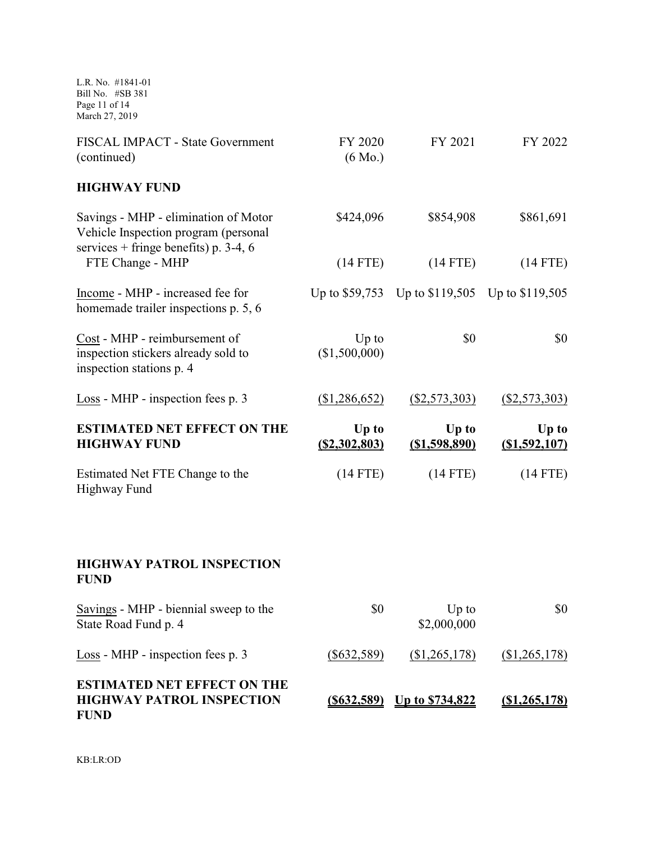L.R. No. #1841-01 Bill No. #SB 381 Page 11 of 14 March 27, 2019

| FISCAL IMPACT - State Government<br>(continued)                                                  | FY 2020<br>$(6 \text{ Mo.})$ | FY 2021                                        | FY 2022                   |
|--------------------------------------------------------------------------------------------------|------------------------------|------------------------------------------------|---------------------------|
| <b>HIGHWAY FUND</b>                                                                              |                              |                                                |                           |
| Savings - MHP - elimination of Motor<br>Vehicle Inspection program (personal                     | \$424,096                    | \$854,908                                      | \$861,691                 |
| services + fringe benefits) p. 3-4, 6<br>FTE Change - MHP                                        | $(14$ FTE)                   | $(14$ FTE)                                     | $(14$ FTE)                |
| Income - MHP - increased fee for<br>homemade trailer inspections p. 5, 6                         |                              | Up to \$59,753 Up to \$119,505 Up to \$119,505 |                           |
| Cost - MHP - reimbursement of<br>inspection stickers already sold to<br>inspection stations p. 4 | $Up$ to<br>(\$1,500,000)     | \$0                                            | \$0                       |
| Loss - MHP - inspection fees p. 3                                                                | (\$1,286,652)                | (\$2,573,303)                                  | $($ \$2,573,303)          |
| <b>ESTIMATED NET EFFECT ON THE</b><br><b>HIGHWAY FUND</b>                                        | Up to<br>(S2, 302, 803)      | Up to<br>( \$1,598,890)                        | Up to<br>$($ \$1,592,107) |
| Estimated Net FTE Change to the<br><b>Highway Fund</b>                                           | $(14$ FTE)                   | $(14$ FTE)                                     | $(14$ FTE)                |
|                                                                                                  |                              |                                                |                           |
| <b>HIGHWAY PATROL INSPECTION</b><br><b>FUND</b>                                                  |                              |                                                |                           |
| Savings - MHP - biennial sweep to the<br>State Road Fund p. 4                                    | \$0                          | $Up$ to<br>\$2,000,000                         | \$0                       |
| Loss - MHP - inspection fees p. 3                                                                | $(\$632,589)$                | (\$1,265,178)                                  | (\$1,265,178)             |
| <b>ESTIMATED NET EFFECT ON THE</b><br><b>HIGHWAY PATROL INSPECTION</b><br><b>FUND</b>            | $($ \$632,589)               | <u>Up to \$734,822</u>                         | $(\$1,265,178)$           |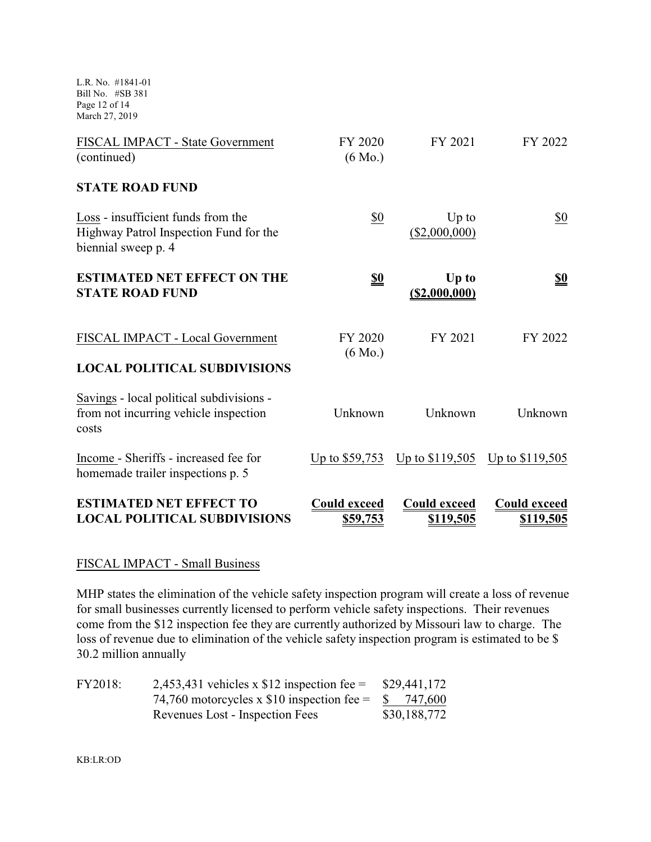L.R. No. #1841-01 Bill No. #SB 381 Page 12 of 14 March 27, 2019

| <b>ESTIMATED NET EFFECT TO</b><br><b>LOCAL POLITICAL SUBDIVISIONS</b>                               | <b>Could exceed</b><br>\$59,753 | <b>Could exceed</b><br>\$119,505 | <b>Could exceed</b><br>\$119,505 |
|-----------------------------------------------------------------------------------------------------|---------------------------------|----------------------------------|----------------------------------|
| Income - Sheriffs - increased fee for<br>homemade trailer inspections p. 5                          | Up to \$59,753                  | Up to \$119,505 Up to \$119,505  |                                  |
| Savings - local political subdivisions -<br>from not incurring vehicle inspection<br>costs          | Unknown                         | Unknown                          | Unknown                          |
| FISCAL IMPACT - Local Government<br><b>LOCAL POLITICAL SUBDIVISIONS</b>                             | FY 2020<br>$(6 \text{ Mo.})$    | FY 2021                          | FY 2022                          |
| <b>ESTIMATED NET EFFECT ON THE</b><br><b>STATE ROAD FUND</b>                                        | $\underline{\underline{\$0}}$   | Up to<br>(S2,000,000)            | <u>\$0</u>                       |
| Loss - insufficient funds from the<br>Highway Patrol Inspection Fund for the<br>biennial sweep p. 4 | $\frac{$0}{}$                   | $Up$ to<br>(\$2,000,000)         | <u>\$0</u>                       |
| <b>STATE ROAD FUND</b>                                                                              |                                 |                                  |                                  |
| FISCAL IMPACT - State Government<br>(continued)                                                     | FY 2020<br>$(6 \text{ Mo.})$    | FY 2021                          | FY 2022                          |

# FISCAL IMPACT - Small Business

MHP states the elimination of the vehicle safety inspection program will create a loss of revenue for small businesses currently licensed to perform vehicle safety inspections. Their revenues come from the \$12 inspection fee they are currently authorized by Missouri law to charge. The loss of revenue due to elimination of the vehicle safety inspection program is estimated to be \$ 30.2 million annually

| FY2018: | 2,453,431 vehicles x $$12$ inspection fee =  | \$29,441,172 |
|---------|----------------------------------------------|--------------|
|         | 74,760 motorcycles x \$10 inspection fee $=$ | \$ 747,600   |
|         | Revenues Lost - Inspection Fees              | \$30,188,772 |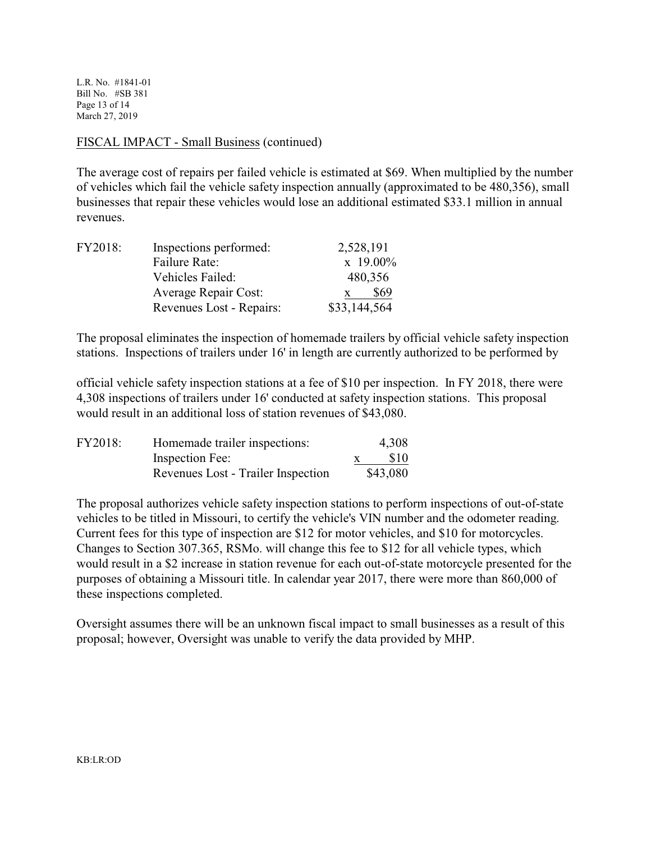L.R. No. #1841-01 Bill No. #SB 381 Page 13 of 14 March 27, 2019

## FISCAL IMPACT - Small Business (continued)

The average cost of repairs per failed vehicle is estimated at \$69. When multiplied by the number of vehicles which fail the vehicle safety inspection annually (approximated to be 480,356), small businesses that repair these vehicles would lose an additional estimated \$33.1 million in annual revenues.

| FY2018: | Inspections performed:   | 2,528,191      |
|---------|--------------------------|----------------|
|         | Failure Rate:            | $\rm x$ 19.00% |
|         | Vehicles Failed:         | 480,356        |
|         | Average Repair Cost:     | \$69           |
|         | Revenues Lost - Repairs: | \$33,144,564   |

The proposal eliminates the inspection of homemade trailers by official vehicle safety inspection stations. Inspections of trailers under 16' in length are currently authorized to be performed by

official vehicle safety inspection stations at a fee of \$10 per inspection. In FY 2018, there were 4,308 inspections of trailers under 16' conducted at safety inspection stations. This proposal would result in an additional loss of station revenues of \$43,080.

| FY2018: | Homemade trailer inspections:      | 4,308    |
|---------|------------------------------------|----------|
|         | Inspection Fee:                    | \$10     |
|         | Revenues Lost - Trailer Inspection | \$43,080 |

The proposal authorizes vehicle safety inspection stations to perform inspections of out-of-state vehicles to be titled in Missouri, to certify the vehicle's VIN number and the odometer reading. Current fees for this type of inspection are \$12 for motor vehicles, and \$10 for motorcycles. Changes to Section 307.365, RSMo. will change this fee to \$12 for all vehicle types, which would result in a \$2 increase in station revenue for each out-of-state motorcycle presented for the purposes of obtaining a Missouri title. In calendar year 2017, there were more than 860,000 of these inspections completed.

Oversight assumes there will be an unknown fiscal impact to small businesses as a result of this proposal; however, Oversight was unable to verify the data provided by MHP.